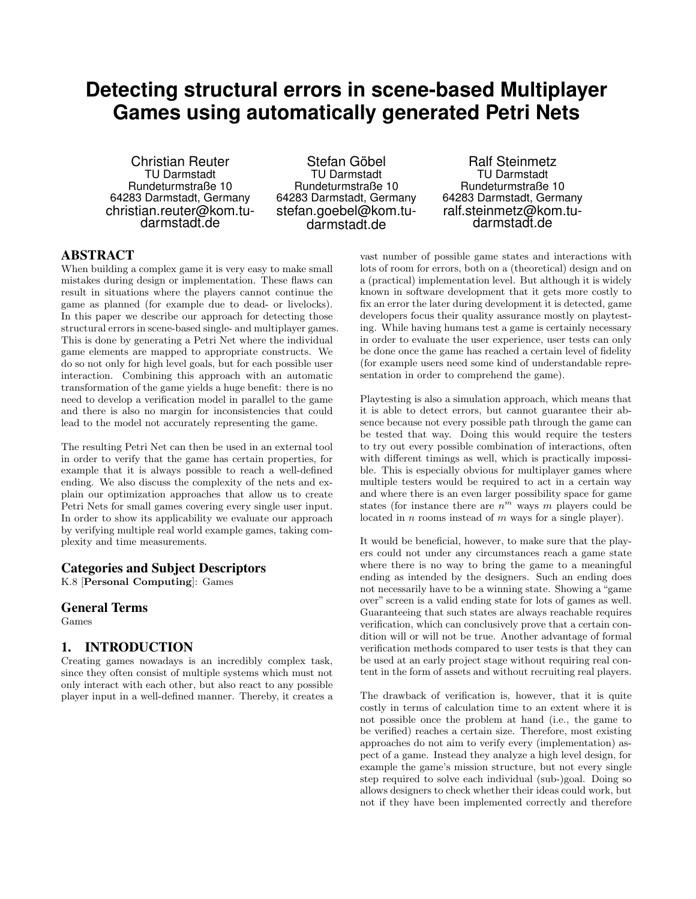# **Detecting structural errors in scene-based Multiplayer Games using automatically generated Petri Nets**

Christian Reuter TU Darmstadt Rundeturmstraße 10 64283 Darmstadt, Germany christian.reuter@kom.tudarmstadt.de

Stefan Göbel TU Darmstadt Rundeturmstraße 10 64283 Darmstadt, Germany stefan.goebel@kom.tudarmstadt.de

Ralf Steinmetz TU Darmstadt Rundeturmstraße 10 64283 Darmstadt, Germany ralf.steinmetz@kom.tudarmstadt.de

# ABSTRACT

When building a complex game it is very easy to make small mistakes during design or implementation. These flaws can result in situations where the players cannot continue the game as planned (for example due to dead- or livelocks). In this paper we describe our approach for detecting those structural errors in scene-based single- and multiplayer games. This is done by generating a Petri Net where the individual game elements are mapped to appropriate constructs. We do so not only for high level goals, but for each possible user interaction. Combining this approach with an automatic transformation of the game yields a huge benefit: there is no need to develop a verification model in parallel to the game and there is also no margin for inconsistencies that could lead to the model not accurately representing the game.

The resulting Petri Net can then be used in an external tool in order to verify that the game has certain properties, for example that it is always possible to reach a well-defined ending. We also discuss the complexity of the nets and explain our optimization approaches that allow us to create Petri Nets for small games covering every single user input. In order to show its applicability we evaluate our approach by verifying multiple real world example games, taking complexity and time measurements.

#### Categories and Subject Descriptors

K.8 [Personal Computing]: Games

#### General Terms

Games

## 1. INTRODUCTION

Creating games nowadays is an incredibly complex task, since they often consist of multiple systems which must not only interact with each other, but also react to any possible player input in a well-defined manner. Thereby, it creates a

vast number of possible game states and interactions with lots of room for errors, both on a (theoretical) design and on a (practical) implementation level. But although it is widely known in software development that it gets more costly to fix an error the later during development it is detected, game developers focus their quality assurance mostly on playtesting. While having humans test a game is certainly necessary in order to evaluate the user experience, user tests can only be done once the game has reached a certain level of fidelity (for example users need some kind of understandable representation in order to comprehend the game).

Playtesting is also a simulation approach, which means that it is able to detect errors, but cannot guarantee their absence because not every possible path through the game can be tested that way. Doing this would require the testers to try out every possible combination of interactions, often with different timings as well, which is practically impossible. This is especially obvious for multiplayer games where multiple testers would be required to act in a certain way and where there is an even larger possibility space for game states (for instance there are  $n^m$  ways m players could be located in n rooms instead of m ways for a single player).

It would be beneficial, however, to make sure that the players could not under any circumstances reach a game state where there is no way to bring the game to a meaningful ending as intended by the designers. Such an ending does not necessarily have to be a winning state. Showing a "game over" screen is a valid ending state for lots of games as well. Guaranteeing that such states are always reachable requires verification, which can conclusively prove that a certain condition will or will not be true. Another advantage of formal verification methods compared to user tests is that they can be used at an early project stage without requiring real content in the form of assets and without recruiting real players.

The drawback of verification is, however, that it is quite costly in terms of calculation time to an extent where it is not possible once the problem at hand (i.e., the game to be verified) reaches a certain size. Therefore, most existing approaches do not aim to verify every (implementation) aspect of a game. Instead they analyze a high level design, for example the game's mission structure, but not every single step required to solve each individual (sub-)goal. Doing so allows designers to check whether their ideas could work, but not if they have been implemented correctly and therefore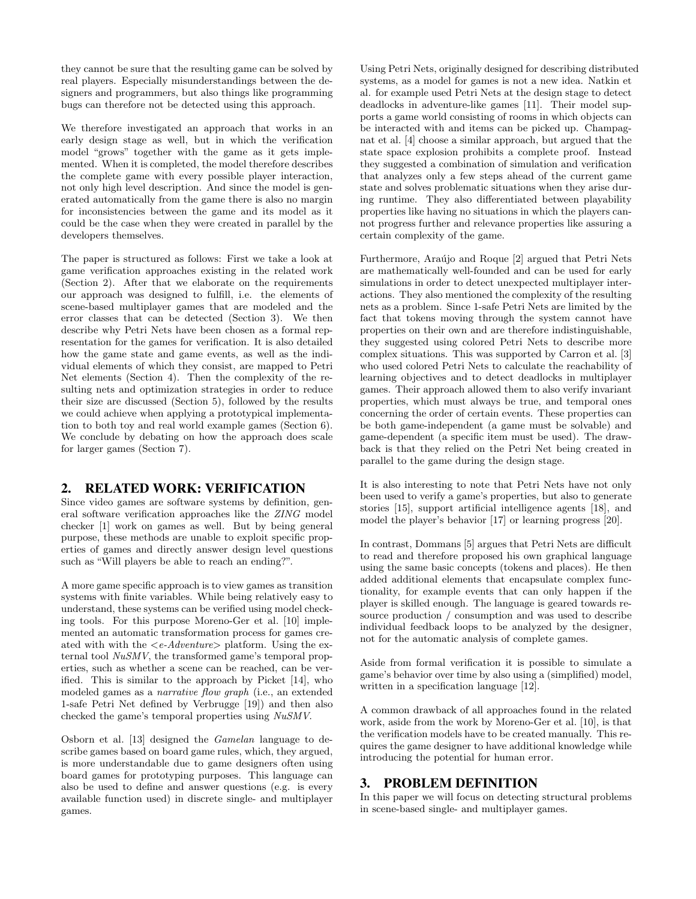they cannot be sure that the resulting game can be solved by real players. Especially misunderstandings between the designers and programmers, but also things like programming bugs can therefore not be detected using this approach.

We therefore investigated an approach that works in an early design stage as well, but in which the verification model "grows" together with the game as it gets implemented. When it is completed, the model therefore describes the complete game with every possible player interaction, not only high level description. And since the model is generated automatically from the game there is also no margin for inconsistencies between the game and its model as it could be the case when they were created in parallel by the developers themselves.

The paper is structured as follows: First we take a look at game verification approaches existing in the related work (Section 2). After that we elaborate on the requirements our approach was designed to fulfill, i.e. the elements of scene-based multiplayer games that are modeled and the error classes that can be detected (Section 3). We then describe why Petri Nets have been chosen as a formal representation for the games for verification. It is also detailed how the game state and game events, as well as the individual elements of which they consist, are mapped to Petri Net elements (Section 4). Then the complexity of the resulting nets and optimization strategies in order to reduce their size are discussed (Section 5), followed by the results we could achieve when applying a prototypical implementation to both toy and real world example games (Section 6). We conclude by debating on how the approach does scale for larger games (Section 7).

## 2. RELATED WORK: VERIFICATION

Since video games are software systems by definition, general software verification approaches like the ZING model checker [1] work on games as well. But by being general purpose, these methods are unable to exploit specific properties of games and directly answer design level questions such as "Will players be able to reach an ending?".

A more game specific approach is to view games as transition systems with finite variables. While being relatively easy to understand, these systems can be verified using model checking tools. For this purpose Moreno-Ger et al. [10] implemented an automatic transformation process for games created with with the  $\langle e\text{-}Adventure\rangle$  platform. Using the external tool NuSMV, the transformed game's temporal properties, such as whether a scene can be reached, can be verified. This is similar to the approach by Picket [14], who modeled games as a narrative flow graph (i.e., an extended 1-safe Petri Net defined by Verbrugge [19]) and then also checked the game's temporal properties using NuSMV.

Osborn et al. [13] designed the Gamelan language to describe games based on board game rules, which, they argued, is more understandable due to game designers often using board games for prototyping purposes. This language can also be used to define and answer questions (e.g. is every available function used) in discrete single- and multiplayer games.

Using Petri Nets, originally designed for describing distributed systems, as a model for games is not a new idea. Natkin et al. for example used Petri Nets at the design stage to detect deadlocks in adventure-like games [11]. Their model supports a game world consisting of rooms in which objects can be interacted with and items can be picked up. Champagnat et al. [4] choose a similar approach, but argued that the state space explosion prohibits a complete proof. Instead they suggested a combination of simulation and verification that analyzes only a few steps ahead of the current game state and solves problematic situations when they arise during runtime. They also differentiated between playability properties like having no situations in which the players cannot progress further and relevance properties like assuring a certain complexity of the game.

Furthermore, Araújo and Roque [2] argued that Petri Nets are mathematically well-founded and can be used for early simulations in order to detect unexpected multiplayer interactions. They also mentioned the complexity of the resulting nets as a problem. Since 1-safe Petri Nets are limited by the fact that tokens moving through the system cannot have properties on their own and are therefore indistinguishable, they suggested using colored Petri Nets to describe more complex situations. This was supported by Carron et al. [3] who used colored Petri Nets to calculate the reachability of learning objectives and to detect deadlocks in multiplayer games. Their approach allowed them to also verify invariant properties, which must always be true, and temporal ones concerning the order of certain events. These properties can be both game-independent (a game must be solvable) and game-dependent (a specific item must be used). The drawback is that they relied on the Petri Net being created in parallel to the game during the design stage.

It is also interesting to note that Petri Nets have not only been used to verify a game's properties, but also to generate stories [15], support artificial intelligence agents [18], and model the player's behavior [17] or learning progress [20].

In contrast, Dommans [5] argues that Petri Nets are difficult to read and therefore proposed his own graphical language using the same basic concepts (tokens and places). He then added additional elements that encapsulate complex functionality, for example events that can only happen if the player is skilled enough. The language is geared towards resource production / consumption and was used to describe individual feedback loops to be analyzed by the designer, not for the automatic analysis of complete games.

Aside from formal verification it is possible to simulate a game's behavior over time by also using a (simplified) model, written in a specification language [12].

A common drawback of all approaches found in the related work, aside from the work by Moreno-Ger et al. [10], is that the verification models have to be created manually. This requires the game designer to have additional knowledge while introducing the potential for human error.

## 3. PROBLEM DEFINITION

In this paper we will focus on detecting structural problems in scene-based single- and multiplayer games.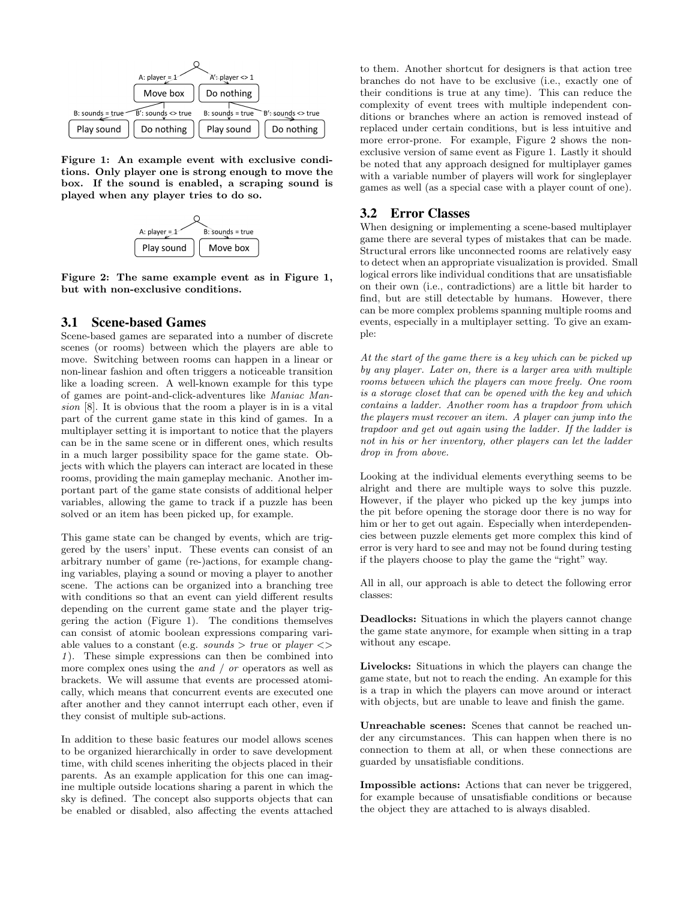

Figure 1: An example event with exclusive conditions. Only player one is strong enough to move the box. If the sound is enabled, a scraping sound is played when any player tries to do so.



Figure 2: The same example event as in Figure 1, but with non-exclusive conditions.

#### 3.1 Scene-based Games

Scene-based games are separated into a number of discrete scenes (or rooms) between which the players are able to move. Switching between rooms can happen in a linear or non-linear fashion and often triggers a noticeable transition like a loading screen. A well-known example for this type of games are point-and-click-adventures like Maniac Mansion [8]. It is obvious that the room a player is in is a vital part of the current game state in this kind of games. In a multiplayer setting it is important to notice that the players can be in the same scene or in different ones, which results in a much larger possibility space for the game state. Objects with which the players can interact are located in these rooms, providing the main gameplay mechanic. Another important part of the game state consists of additional helper variables, allowing the game to track if a puzzle has been solved or an item has been picked up, for example.

This game state can be changed by events, which are triggered by the users' input. These events can consist of an arbitrary number of game (re-)actions, for example changing variables, playing a sound or moving a player to another scene. The actions can be organized into a branching tree with conditions so that an event can yield different results depending on the current game state and the player triggering the action (Figure 1). The conditions themselves can consist of atomic boolean expressions comparing variable values to a constant (e.g. sounds  $> true$  or player  $\lt$ 1 ). These simple expressions can then be combined into more complex ones using the and / or operators as well as brackets. We will assume that events are processed atomically, which means that concurrent events are executed one after another and they cannot interrupt each other, even if they consist of multiple sub-actions.

In addition to these basic features our model allows scenes to be organized hierarchically in order to save development time, with child scenes inheriting the objects placed in their parents. As an example application for this one can imagine multiple outside locations sharing a parent in which the sky is defined. The concept also supports objects that can be enabled or disabled, also affecting the events attached

to them. Another shortcut for designers is that action tree branches do not have to be exclusive (i.e., exactly one of their conditions is true at any time). This can reduce the complexity of event trees with multiple independent conditions or branches where an action is removed instead of replaced under certain conditions, but is less intuitive and more error-prone. For example, Figure 2 shows the nonexclusive version of same event as Figure 1. Lastly it should be noted that any approach designed for multiplayer games with a variable number of players will work for singleplayer games as well (as a special case with a player count of one).

#### 3.2 Error Classes

When designing or implementing a scene-based multiplayer game there are several types of mistakes that can be made. Structural errors like unconnected rooms are relatively easy to detect when an appropriate visualization is provided. Small logical errors like individual conditions that are unsatisfiable on their own (i.e., contradictions) are a little bit harder to find, but are still detectable by humans. However, there can be more complex problems spanning multiple rooms and events, especially in a multiplayer setting. To give an example:

At the start of the game there is a key which can be picked up by any player. Later on, there is a larger area with multiple rooms between which the players can move freely. One room is a storage closet that can be opened with the key and which contains a ladder. Another room has a trapdoor from which the players must recover an item. A player can jump into the trapdoor and get out again using the ladder. If the ladder is not in his or her inventory, other players can let the ladder drop in from above.

Looking at the individual elements everything seems to be alright and there are multiple ways to solve this puzzle. However, if the player who picked up the key jumps into the pit before opening the storage door there is no way for him or her to get out again. Especially when interdependencies between puzzle elements get more complex this kind of error is very hard to see and may not be found during testing if the players choose to play the game the "right" way.

All in all, our approach is able to detect the following error classes:

Deadlocks: Situations in which the players cannot change the game state anymore, for example when sitting in a trap without any escape.

Livelocks: Situations in which the players can change the game state, but not to reach the ending. An example for this is a trap in which the players can move around or interact with objects, but are unable to leave and finish the game.

Unreachable scenes: Scenes that cannot be reached under any circumstances. This can happen when there is no connection to them at all, or when these connections are guarded by unsatisfiable conditions.

Impossible actions: Actions that can never be triggered, for example because of unsatisfiable conditions or because the object they are attached to is always disabled.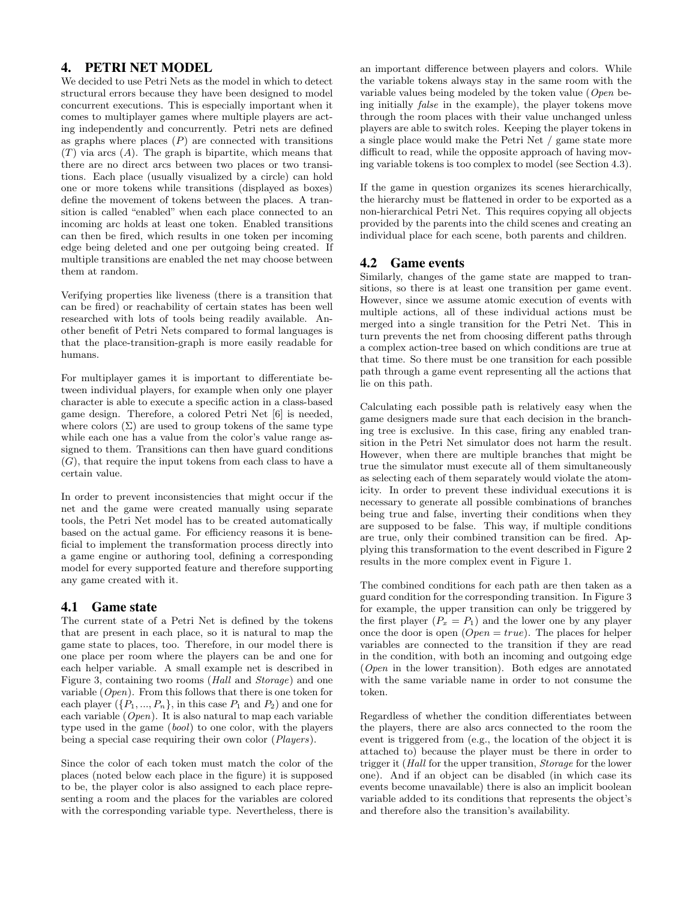# 4. PETRI NET MODEL

We decided to use Petri Nets as the model in which to detect structural errors because they have been designed to model concurrent executions. This is especially important when it comes to multiplayer games where multiple players are acting independently and concurrently. Petri nets are defined as graphs where places  $(P)$  are connected with transitions  $(T)$  via arcs  $(A)$ . The graph is bipartite, which means that there are no direct arcs between two places or two transitions. Each place (usually visualized by a circle) can hold one or more tokens while transitions (displayed as boxes) define the movement of tokens between the places. A transition is called "enabled" when each place connected to an incoming arc holds at least one token. Enabled transitions can then be fired, which results in one token per incoming edge being deleted and one per outgoing being created. If multiple transitions are enabled the net may choose between them at random.

Verifying properties like liveness (there is a transition that can be fired) or reachability of certain states has been well researched with lots of tools being readily available. Another benefit of Petri Nets compared to formal languages is that the place-transition-graph is more easily readable for humans.

For multiplayer games it is important to differentiate between individual players, for example when only one player character is able to execute a specific action in a class-based game design. Therefore, a colored Petri Net [6] is needed, where colors  $(\Sigma)$  are used to group tokens of the same type while each one has a value from the color's value range assigned to them. Transitions can then have guard conditions  $(G)$ , that require the input tokens from each class to have a certain value.

In order to prevent inconsistencies that might occur if the net and the game were created manually using separate tools, the Petri Net model has to be created automatically based on the actual game. For efficiency reasons it is beneficial to implement the transformation process directly into a game engine or authoring tool, defining a corresponding model for every supported feature and therefore supporting any game created with it.

## 4.1 Game state

The current state of a Petri Net is defined by the tokens that are present in each place, so it is natural to map the game state to places, too. Therefore, in our model there is one place per room where the players can be and one for each helper variable. A small example net is described in Figure 3, containing two rooms (Hall and Storage) and one variable  $(Open)$ . From this follows that there is one token for each player  $({P_1},...,P_n)$ , in this case  $P_1$  and  $P_2$ ) and one for each variable  $(Open)$ . It is also natural to map each variable type used in the game (bool) to one color, with the players being a special case requiring their own color (Players).

Since the color of each token must match the color of the places (noted below each place in the figure) it is supposed to be, the player color is also assigned to each place representing a room and the places for the variables are colored with the corresponding variable type. Nevertheless, there is an important difference between players and colors. While the variable tokens always stay in the same room with the variable values being modeled by the token value (Open being initially false in the example), the player tokens move through the room places with their value unchanged unless players are able to switch roles. Keeping the player tokens in a single place would make the Petri Net / game state more difficult to read, while the opposite approach of having moving variable tokens is too complex to model (see Section 4.3).

If the game in question organizes its scenes hierarchically, the hierarchy must be flattened in order to be exported as a non-hierarchical Petri Net. This requires copying all objects provided by the parents into the child scenes and creating an individual place for each scene, both parents and children.

# 4.2 Game events

Similarly, changes of the game state are mapped to transitions, so there is at least one transition per game event. However, since we assume atomic execution of events with multiple actions, all of these individual actions must be merged into a single transition for the Petri Net. This in turn prevents the net from choosing different paths through a complex action-tree based on which conditions are true at that time. So there must be one transition for each possible path through a game event representing all the actions that lie on this path.

Calculating each possible path is relatively easy when the game designers made sure that each decision in the branching tree is exclusive. In this case, firing any enabled transition in the Petri Net simulator does not harm the result. However, when there are multiple branches that might be true the simulator must execute all of them simultaneously as selecting each of them separately would violate the atomicity. In order to prevent these individual executions it is necessary to generate all possible combinations of branches being true and false, inverting their conditions when they are supposed to be false. This way, if multiple conditions are true, only their combined transition can be fired. Applying this transformation to the event described in Figure 2 results in the more complex event in Figure 1.

The combined conditions for each path are then taken as a guard condition for the corresponding transition. In Figure 3 for example, the upper transition can only be triggered by the first player  $(P_x = P_1)$  and the lower one by any player once the door is open  $(Open = true)$ . The places for helper variables are connected to the transition if they are read in the condition, with both an incoming and outgoing edge (Open in the lower transition). Both edges are annotated with the same variable name in order to not consume the token.

Regardless of whether the condition differentiates between the players, there are also arcs connected to the room the event is triggered from (e.g., the location of the object it is attached to) because the player must be there in order to trigger it (Hall for the upper transition, Storage for the lower one). And if an object can be disabled (in which case its events become unavailable) there is also an implicit boolean variable added to its conditions that represents the object's and therefore also the transition's availability.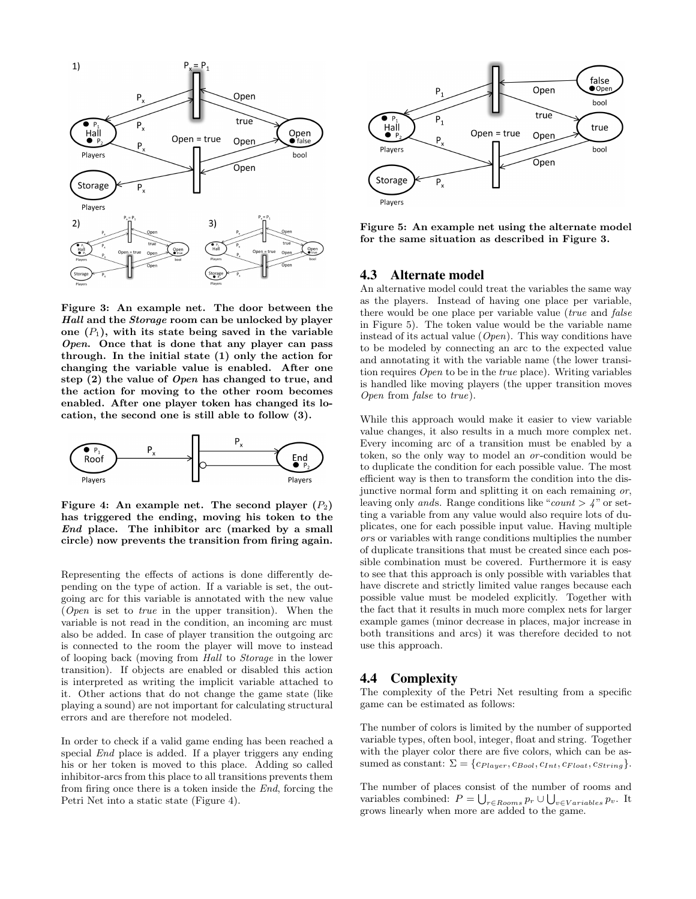

Figure 3: An example net. The door between the Hall and the Storage room can be unlocked by player one  $(P_1)$ , with its state being saved in the variable Open. Once that is done that any player can pass through. In the initial state (1) only the action for changing the variable value is enabled. After one step (2) the value of Open has changed to true, and the action for moving to the other room becomes enabled. After one player token has changed its location, the second one is still able to follow (3).



Figure 4: An example net. The second player  $(P_2)$ has triggered the ending, moving his token to the End place. The inhibitor arc (marked by a small circle) now prevents the transition from firing again.

Representing the effects of actions is done differently depending on the type of action. If a variable is set, the outgoing arc for this variable is annotated with the new value (Open is set to true in the upper transition). When the variable is not read in the condition, an incoming arc must also be added. In case of player transition the outgoing arc is connected to the room the player will move to instead of looping back (moving from Hall to Storage in the lower transition). If objects are enabled or disabled this action is interpreted as writing the implicit variable attached to it. Other actions that do not change the game state (like playing a sound) are not important for calculating structural errors and are therefore not modeled.

In order to check if a valid game ending has been reached a special End place is added. If a player triggers any ending his or her token is moved to this place. Adding so called inhibitor-arcs from this place to all transitions prevents them from firing once there is a token inside the End, forcing the Petri Net into a static state (Figure 4).



Figure 5: An example net using the alternate model for the same situation as described in Figure 3.

#### 4.3 Alternate model

An alternative model could treat the variables the same way as the players. Instead of having one place per variable, there would be one place per variable value (true and false in Figure 5). The token value would be the variable name instead of its actual value  $(Open)$ . This way conditions have to be modeled by connecting an arc to the expected value and annotating it with the variable name (the lower transition requires Open to be in the true place). Writing variables is handled like moving players (the upper transition moves Open from false to true).

While this approach would make it easier to view variable value changes, it also results in a much more complex net. Every incoming arc of a transition must be enabled by a token, so the only way to model an or-condition would be to duplicate the condition for each possible value. The most efficient way is then to transform the condition into the disjunctive normal form and splitting it on each remaining or, leaving only ands. Range conditions like "count  $>$  4" or setting a variable from any value would also require lots of duplicates, one for each possible input value. Having multiple ors or variables with range conditions multiplies the number of duplicate transitions that must be created since each possible combination must be covered. Furthermore it is easy to see that this approach is only possible with variables that have discrete and strictly limited value ranges because each possible value must be modeled explicitly. Together with the fact that it results in much more complex nets for larger example games (minor decrease in places, major increase in both transitions and arcs) it was therefore decided to not use this approach.

#### 4.4 Complexity

The complexity of the Petri Net resulting from a specific game can be estimated as follows:

The number of colors is limited by the number of supported variable types, often bool, integer, float and string. Together with the player color there are five colors, which can be assumed as constant:  $\Sigma = \{c_{Player}, c_{Bool}, c_{Int}, c_{Float}, c_{String}\}.$ 

The number of places consist of the number of rooms and variables combined:  $P = \bigcup_{r \in Rooms} p_r \cup \bigcup_{v \in Variables} p_v$ . It grows linearly when more are added to the game.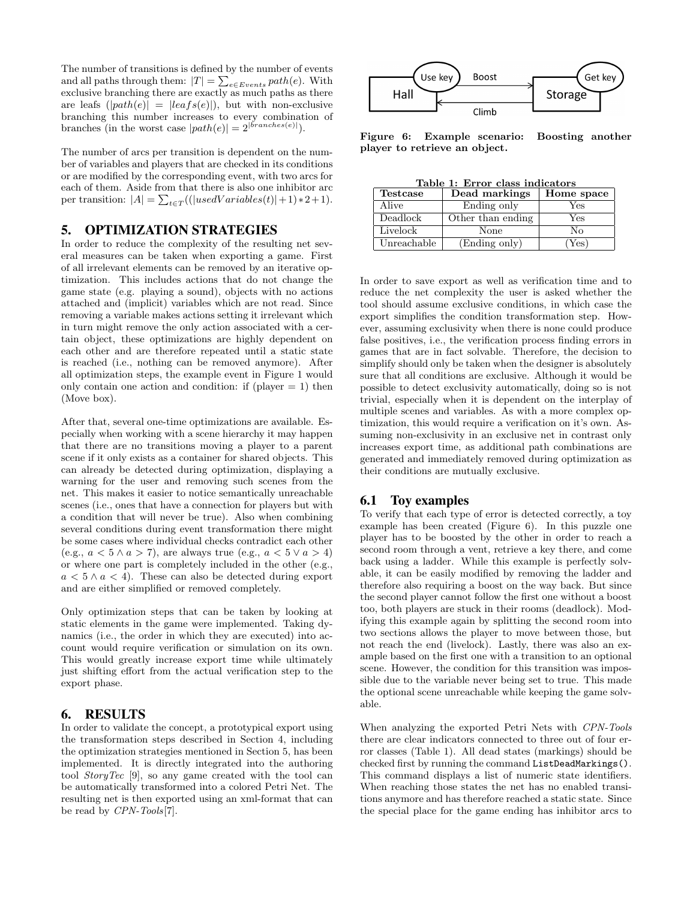The number of transitions is defined by the number of events and all paths through them:  $|T| = \sum_{e \in Events} path(e)$ . With exclusive branching there are exactly as much paths as there are leafs  $(|path(e)| = |leafs(e)|)$ , but with non-exclusive branching this number increases to every combination of branches (in the worst case  $|path(e)| = 2^{|branches(e)|}$ ).

The number of arcs per transition is dependent on the number of variables and players that are checked in its conditions or are modified by the corresponding event, with two arcs for each of them. Aside from that there is also one inhibitor arc per transition:  $|A| = \sum_{t \in T} ((|usedVariables(t)|+1) * 2 + 1).$ 

#### 5. OPTIMIZATION STRATEGIES

In order to reduce the complexity of the resulting net several measures can be taken when exporting a game. First of all irrelevant elements can be removed by an iterative optimization. This includes actions that do not change the game state (e.g. playing a sound), objects with no actions attached and (implicit) variables which are not read. Since removing a variable makes actions setting it irrelevant which in turn might remove the only action associated with a certain object, these optimizations are highly dependent on each other and are therefore repeated until a static state is reached (i.e., nothing can be removed anymore). After all optimization steps, the example event in Figure 1 would only contain one action and condition: if (player  $= 1$ ) then (Move box).

After that, several one-time optimizations are available. Especially when working with a scene hierarchy it may happen that there are no transitions moving a player to a parent scene if it only exists as a container for shared objects. This can already be detected during optimization, displaying a warning for the user and removing such scenes from the net. This makes it easier to notice semantically unreachable scenes (i.e., ones that have a connection for players but with a condition that will never be true). Also when combining several conditions during event transformation there might be some cases where individual checks contradict each other (e.g.,  $a < 5 \wedge a > 7$ ), are always true (e.g.,  $a < 5 \vee a > 4$ ) or where one part is completely included in the other (e.g.,  $a < 5 \wedge a < 4$ . These can also be detected during export and are either simplified or removed completely.

Only optimization steps that can be taken by looking at static elements in the game were implemented. Taking dynamics (i.e., the order in which they are executed) into account would require verification or simulation on its own. This would greatly increase export time while ultimately just shifting effort from the actual verification step to the export phase.

#### 6. RESULTS

In order to validate the concept, a prototypical export using the transformation steps described in Section 4, including the optimization strategies mentioned in Section 5, has been implemented. It is directly integrated into the authoring tool StoryTec [9], so any game created with the tool can be automatically transformed into a colored Petri Net. The resulting net is then exported using an xml-format that can be read by CPN-Tools[7].



Figure 6: Example scenario: Boosting another player to retrieve an object.

Table 1: Error class indicators

| <b>Testcase</b> | Dead markings     | Home space |  |  |
|-----------------|-------------------|------------|--|--|
| Alive           | Ending only       | Yes        |  |  |
| Deadlock        | Other than ending | Yes        |  |  |
| Livelock        | None              | Nο         |  |  |
| Unreachable     | (Ending only)     | Yes)       |  |  |

In order to save export as well as verification time and to reduce the net complexity the user is asked whether the tool should assume exclusive conditions, in which case the export simplifies the condition transformation step. However, assuming exclusivity when there is none could produce false positives, i.e., the verification process finding errors in games that are in fact solvable. Therefore, the decision to simplify should only be taken when the designer is absolutely sure that all conditions are exclusive. Although it would be possible to detect exclusivity automatically, doing so is not trivial, especially when it is dependent on the interplay of multiple scenes and variables. As with a more complex optimization, this would require a verification on it's own. Assuming non-exclusivity in an exclusive net in contrast only increases export time, as additional path combinations are generated and immediately removed during optimization as their conditions are mutually exclusive.

#### 6.1 Toy examples

To verify that each type of error is detected correctly, a toy example has been created (Figure 6). In this puzzle one player has to be boosted by the other in order to reach a second room through a vent, retrieve a key there, and come back using a ladder. While this example is perfectly solvable, it can be easily modified by removing the ladder and therefore also requiring a boost on the way back. But since the second player cannot follow the first one without a boost too, both players are stuck in their rooms (deadlock). Modifying this example again by splitting the second room into two sections allows the player to move between those, but not reach the end (livelock). Lastly, there was also an example based on the first one with a transition to an optional scene. However, the condition for this transition was impossible due to the variable never being set to true. This made the optional scene unreachable while keeping the game solvable.

When analyzing the exported Petri Nets with CPN-Tools there are clear indicators connected to three out of four error classes (Table 1). All dead states (markings) should be checked first by running the command ListDeadMarkings(). This command displays a list of numeric state identifiers. When reaching those states the net has no enabled transitions anymore and has therefore reached a static state. Since the special place for the game ending has inhibitor arcs to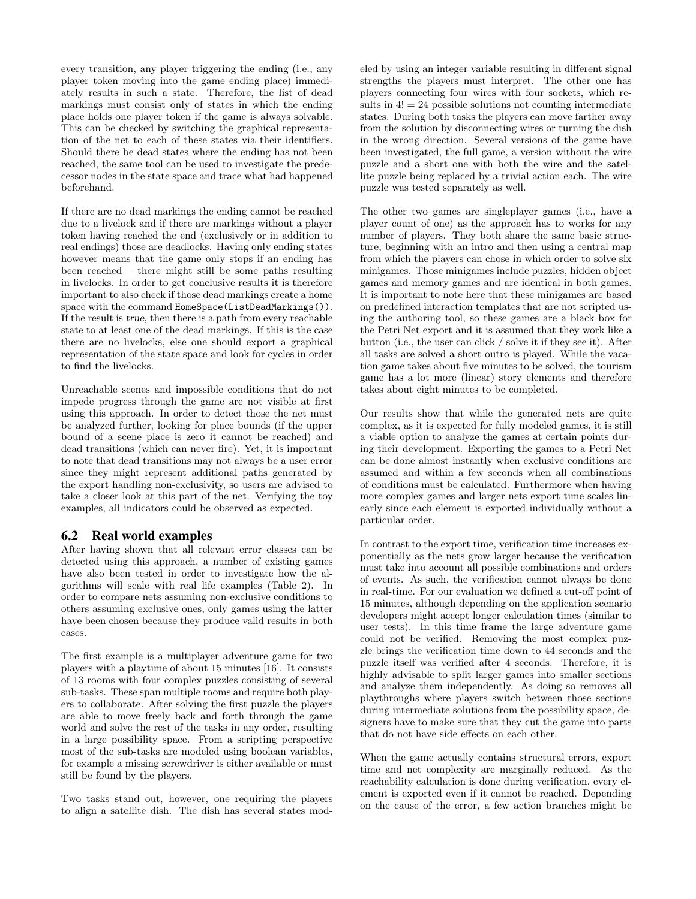every transition, any player triggering the ending (i.e., any player token moving into the game ending place) immediately results in such a state. Therefore, the list of dead markings must consist only of states in which the ending place holds one player token if the game is always solvable. This can be checked by switching the graphical representation of the net to each of these states via their identifiers. Should there be dead states where the ending has not been reached, the same tool can be used to investigate the predecessor nodes in the state space and trace what had happened beforehand.

If there are no dead markings the ending cannot be reached due to a livelock and if there are markings without a player token having reached the end (exclusively or in addition to real endings) those are deadlocks. Having only ending states however means that the game only stops if an ending has been reached – there might still be some paths resulting in livelocks. In order to get conclusive results it is therefore important to also check if those dead markings create a home space with the command HomeSpace(ListDeadMarkings()). If the result is true, then there is a path from every reachable state to at least one of the dead markings. If this is the case there are no livelocks, else one should export a graphical representation of the state space and look for cycles in order to find the livelocks.

Unreachable scenes and impossible conditions that do not impede progress through the game are not visible at first using this approach. In order to detect those the net must be analyzed further, looking for place bounds (if the upper bound of a scene place is zero it cannot be reached) and dead transitions (which can never fire). Yet, it is important to note that dead transitions may not always be a user error since they might represent additional paths generated by the export handling non-exclusivity, so users are advised to take a closer look at this part of the net. Verifying the toy examples, all indicators could be observed as expected.

## 6.2 Real world examples

After having shown that all relevant error classes can be detected using this approach, a number of existing games have also been tested in order to investigate how the algorithms will scale with real life examples (Table 2). In order to compare nets assuming non-exclusive conditions to others assuming exclusive ones, only games using the latter have been chosen because they produce valid results in both cases.

The first example is a multiplayer adventure game for two players with a playtime of about 15 minutes [16]. It consists of 13 rooms with four complex puzzles consisting of several sub-tasks. These span multiple rooms and require both players to collaborate. After solving the first puzzle the players are able to move freely back and forth through the game world and solve the rest of the tasks in any order, resulting in a large possibility space. From a scripting perspective most of the sub-tasks are modeled using boolean variables, for example a missing screwdriver is either available or must still be found by the players.

Two tasks stand out, however, one requiring the players to align a satellite dish. The dish has several states modeled by using an integer variable resulting in different signal strengths the players must interpret. The other one has players connecting four wires with four sockets, which results in  $4! = 24$  possible solutions not counting intermediate states. During both tasks the players can move farther away from the solution by disconnecting wires or turning the dish in the wrong direction. Several versions of the game have been investigated, the full game, a version without the wire puzzle and a short one with both the wire and the satellite puzzle being replaced by a trivial action each. The wire puzzle was tested separately as well.

The other two games are singleplayer games (i.e., have a player count of one) as the approach has to works for any number of players. They both share the same basic structure, beginning with an intro and then using a central map from which the players can chose in which order to solve six minigames. Those minigames include puzzles, hidden object games and memory games and are identical in both games. It is important to note here that these minigames are based on predefined interaction templates that are not scripted using the authoring tool, so these games are a black box for the Petri Net export and it is assumed that they work like a button (i.e., the user can click / solve it if they see it). After all tasks are solved a short outro is played. While the vacation game takes about five minutes to be solved, the tourism game has a lot more (linear) story elements and therefore takes about eight minutes to be completed.

Our results show that while the generated nets are quite complex, as it is expected for fully modeled games, it is still a viable option to analyze the games at certain points during their development. Exporting the games to a Petri Net can be done almost instantly when exclusive conditions are assumed and within a few seconds when all combinations of conditions must be calculated. Furthermore when having more complex games and larger nets export time scales linearly since each element is exported individually without a particular order.

In contrast to the export time, verification time increases exponentially as the nets grow larger because the verification must take into account all possible combinations and orders of events. As such, the verification cannot always be done in real-time. For our evaluation we defined a cut-off point of 15 minutes, although depending on the application scenario developers might accept longer calculation times (similar to user tests). In this time frame the large adventure game could not be verified. Removing the most complex puzzle brings the verification time down to 44 seconds and the puzzle itself was verified after 4 seconds. Therefore, it is highly advisable to split larger games into smaller sections and analyze them independently. As doing so removes all playthroughs where players switch between those sections during intermediate solutions from the possibility space, designers have to make sure that they cut the game into parts that do not have side effects on each other.

When the game actually contains structural errors, export time and net complexity are marginally reduced. As the reachability calculation is done during verification, every element is exported even if it cannot be reached. Depending on the cause of the error, a few action branches might be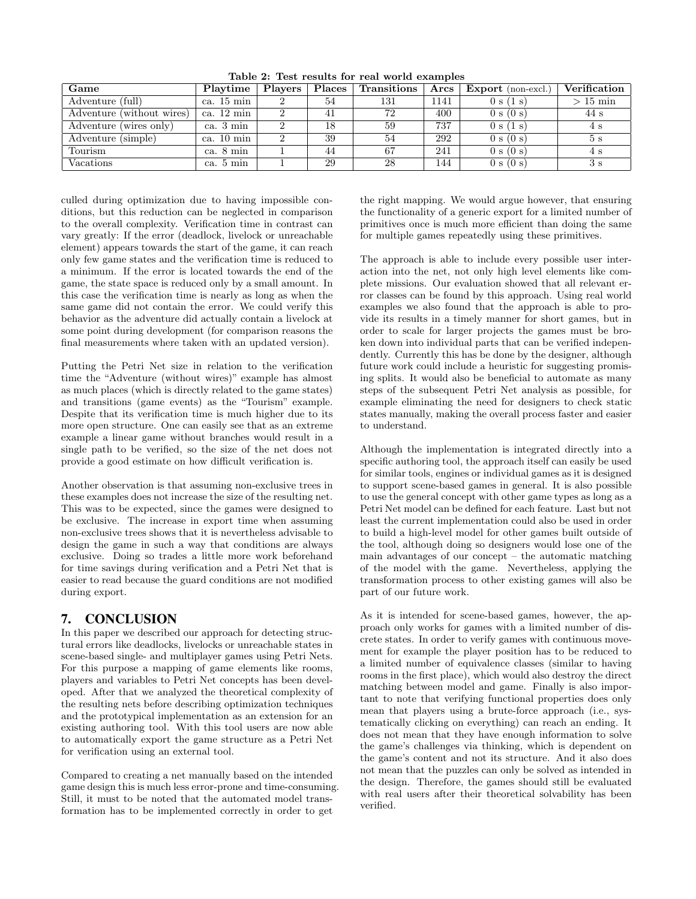| Game                      | Playtime             | Players | Places <sup>1</sup> | Transitions | Arcs | <b>Export</b> (non-excl.) | Verification |
|---------------------------|----------------------|---------|---------------------|-------------|------|---------------------------|--------------|
| Adventure (full)          | ca. 15 min           |         | 54                  | 131         | 1141 | 0 s (1 s)                 | $>15$ min    |
| Adventure (without wires) | ca. $12 \text{ min}$ |         |                     | 72          | 400  | 0 s (0 s)                 | 44 s         |
| Adventure (wires only)    | ca. $3 \text{ min}$  |         | 18                  | 59          | 737  | 0 s (1 s)                 | 4 s          |
| Adventure (simple)        | ca. $10 \text{ min}$ |         | 39                  | 54          | 292  | 0 s (0 s)                 | 5s           |
| Tourism                   | ca. 8 min            |         | 44                  | 67          | 241  | 0 s (0 s)                 | 4 s          |
| Vacations                 | ca. 5 min            |         | 29                  | 28          | 144  | 0 s (0 s)                 | 3s           |

Table 2: Test results for real world examples

culled during optimization due to having impossible conditions, but this reduction can be neglected in comparison to the overall complexity. Verification time in contrast can vary greatly: If the error (deadlock, livelock or unreachable element) appears towards the start of the game, it can reach only few game states and the verification time is reduced to a minimum. If the error is located towards the end of the game, the state space is reduced only by a small amount. In this case the verification time is nearly as long as when the same game did not contain the error. We could verify this behavior as the adventure did actually contain a livelock at some point during development (for comparison reasons the final measurements where taken with an updated version).

Putting the Petri Net size in relation to the verification time the "Adventure (without wires)" example has almost as much places (which is directly related to the game states) and transitions (game events) as the "Tourism" example. Despite that its verification time is much higher due to its more open structure. One can easily see that as an extreme example a linear game without branches would result in a single path to be verified, so the size of the net does not provide a good estimate on how difficult verification is.

Another observation is that assuming non-exclusive trees in these examples does not increase the size of the resulting net. This was to be expected, since the games were designed to be exclusive. The increase in export time when assuming non-exclusive trees shows that it is nevertheless advisable to design the game in such a way that conditions are always exclusive. Doing so trades a little more work beforehand for time savings during verification and a Petri Net that is easier to read because the guard conditions are not modified during export.

# 7. CONCLUSION

In this paper we described our approach for detecting structural errors like deadlocks, livelocks or unreachable states in scene-based single- and multiplayer games using Petri Nets. For this purpose a mapping of game elements like rooms, players and variables to Petri Net concepts has been developed. After that we analyzed the theoretical complexity of the resulting nets before describing optimization techniques and the prototypical implementation as an extension for an existing authoring tool. With this tool users are now able to automatically export the game structure as a Petri Net for verification using an external tool.

Compared to creating a net manually based on the intended game design this is much less error-prone and time-consuming. Still, it must to be noted that the automated model transformation has to be implemented correctly in order to get

the right mapping. We would argue however, that ensuring the functionality of a generic export for a limited number of primitives once is much more efficient than doing the same for multiple games repeatedly using these primitives.

The approach is able to include every possible user interaction into the net, not only high level elements like complete missions. Our evaluation showed that all relevant error classes can be found by this approach. Using real world examples we also found that the approach is able to provide its results in a timely manner for short games, but in order to scale for larger projects the games must be broken down into individual parts that can be verified independently. Currently this has be done by the designer, although future work could include a heuristic for suggesting promising splits. It would also be beneficial to automate as many steps of the subsequent Petri Net analysis as possible, for example eliminating the need for designers to check static states manually, making the overall process faster and easier to understand.

Although the implementation is integrated directly into a specific authoring tool, the approach itself can easily be used for similar tools, engines or individual games as it is designed to support scene-based games in general. It is also possible to use the general concept with other game types as long as a Petri Net model can be defined for each feature. Last but not least the current implementation could also be used in order to build a high-level model for other games built outside of the tool, although doing so designers would lose one of the main advantages of our concept – the automatic matching of the model with the game. Nevertheless, applying the transformation process to other existing games will also be part of our future work.

As it is intended for scene-based games, however, the approach only works for games with a limited number of discrete states. In order to verify games with continuous movement for example the player position has to be reduced to a limited number of equivalence classes (similar to having rooms in the first place), which would also destroy the direct matching between model and game. Finally is also important to note that verifying functional properties does only mean that players using a brute-force approach (i.e., systematically clicking on everything) can reach an ending. It does not mean that they have enough information to solve the game's challenges via thinking, which is dependent on the game's content and not its structure. And it also does not mean that the puzzles can only be solved as intended in the design. Therefore, the games should still be evaluated with real users after their theoretical solvability has been verified.